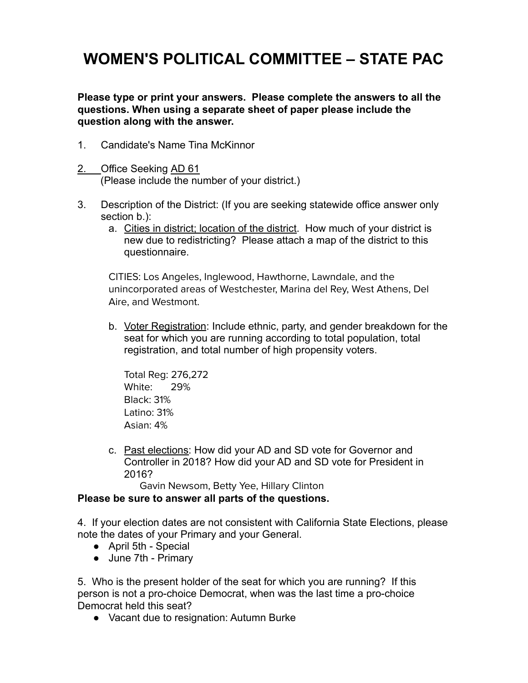## **WOMEN'S POLITICAL COMMITTEE – STATE PAC**

**Please type or print your answers. Please complete the answers to all the questions. When using a separate sheet of paper please include the question along with the answer.**

- 1. Candidate's Name Tina McKinnor
- 2. Office Seeking AD 61 (Please include the number of your district.)
- 3. Description of the District: (If you are seeking statewide office answer only section b.):
	- a. Cities in district; location of the district. How much of your district is new due to redistricting? Please attach a map of the district to this questionnaire.

CITIES: Los Angeles, Inglewood, Hawthorne, Lawndale, and the unincorporated areas of Westchester, Marina del Rey, West Athens, Del Aire, and Westmont.

b. Voter Registration: Include ethnic, party, and gender breakdown for the seat for which you are running according to total population, total registration, and total number of high propensity voters.

Total Reg: 276,272 White: 29% Black: 31% Latino: 31% Asian: 4%

c. Past elections: How did your AD and SD vote for Governor and Controller in 2018? How did your AD and SD vote for President in 2016?

Gavin Newsom, Betty Yee, Hillary Clinton

## **Please be sure to answer all parts of the questions.**

4. If your election dates are not consistent with California State Elections, please note the dates of your Primary and your General.

- April 5th Special
- June 7th Primary

5. Who is the present holder of the seat for which you are running? If this person is not a pro-choice Democrat, when was the last time a pro-choice Democrat held this seat?

● Vacant due to resignation: Autumn Burke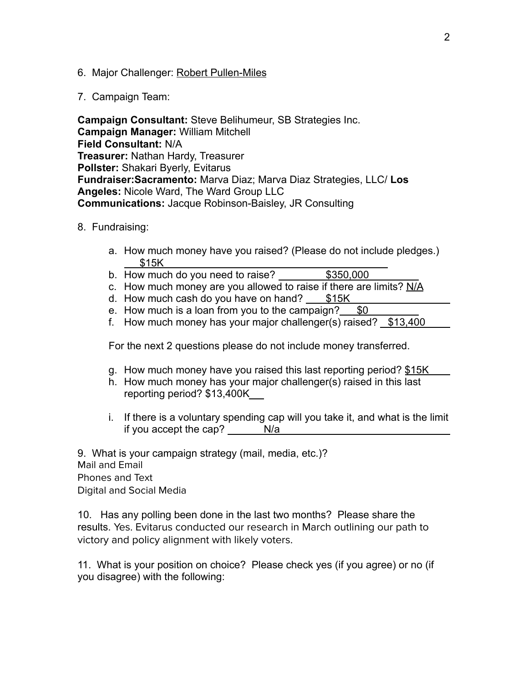- 6. Major Challenger: Robert Pullen-Miles
- 7. Campaign Team:

**Campaign Consultant:** Steve Belihumeur, SB Strategies Inc. **Campaign Manager:** William Mitchell **Field Consultant:** N/A **Treasurer:** Nathan Hardy, Treasurer **Pollster:** Shakari Byerly, Evitarus **Fundraiser:Sacramento:** Marva Diaz; Marva Diaz Strategies, LLC/ **Los Angeles:** Nicole Ward, The Ward Group LLC **Communications:** Jacque Robinson-Baisley, JR Consulting

- 8. Fundraising:
	- a. How much money have you raised? (Please do not include pledges.) \$15K
	- b. How much do you need to raise? \$350,000
	- c. How much money are you allowed to raise if there are limits?  $N/A$
	- d. How much cash do you have on hand?  $$15K$
	- e. How much is a loan from you to the campaign?  $$0$
	- f. How much money has your major challenger(s) raised?  $$13,400$

For the next 2 questions please do not include money transferred.

- g. How much money have you raised this last reporting period? \$15K
- h. How much money has your major challenger(s) raised in this last reporting period? \$13,400K
- i. If there is a voluntary spending cap will you take it, and what is the limit if you accept the cap? N/a

9. What is your campaign strategy (mail, media, etc.)? Mail and Email Phones and Text Digital and Social Media

10. Has any polling been done in the last two months? Please share the results. Yes. Evitarus conducted our research in March outlining our path to victory and policy alignment with likely voters.

11. What is your position on choice? Please check yes (if you agree) or no (if you disagree) with the following: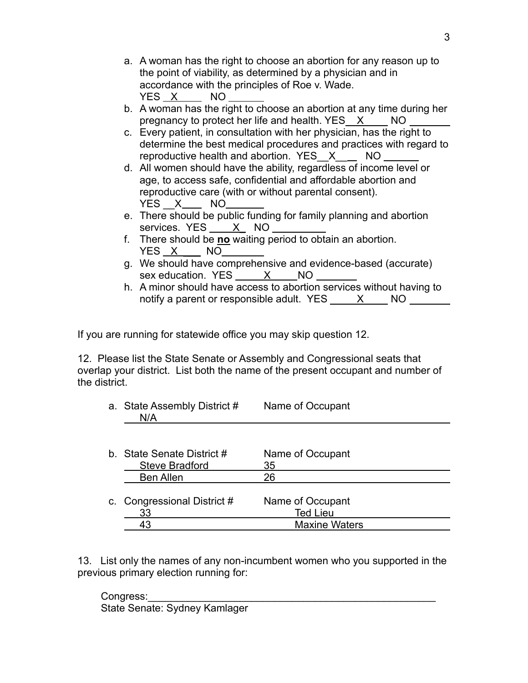- a. A woman has the right to choose an abortion for any reason up to the point of viability, as determined by a physician and in accordance with the principles of Roe v. Wade. YES X NO
- b. A woman has the right to choose an abortion at any time during her pregnancy to protect her life and health. YES X NO
- c. Every patient, in consultation with her physician, has the right to determine the best medical procedures and practices with regard to reproductive health and abortion. YES\_\_X\_\_ NO
- d. All women should have the ability, regardless of income level or age, to access safe, confidential and affordable abortion and reproductive care (with or without parental consent). YES  $X$  NO
- e. There should be public funding for family planning and abortion services. YES X NO
- f. There should be **no** waiting period to obtain an abortion.  $YES \ X$   $NO$
- g. We should have comprehensive and evidence-based (accurate) sex education. YES X NO
- h. A minor should have access to abortion services without having to notify a parent or responsible adult. YES X NO

If you are running for statewide office you may skip question 12.

12. Please list the State Senate or Assembly and Congressional seats that overlap your district. List both the name of the present occupant and number of the district.

a. State Assembly District # Name of Occupant N/A

| b. State Senate District #  | Name of Occupant     |  |
|-----------------------------|----------------------|--|
| <b>Steve Bradford</b>       | 35                   |  |
| <b>Ben Allen</b>            | 26                   |  |
|                             |                      |  |
| c. Congressional District # | Name of Occupant     |  |
| 33                          | <b>Ted Lieu</b>      |  |
| 43                          | <b>Maxine Waters</b> |  |
|                             |                      |  |

13. List only the names of any non-incumbent women who you supported in the previous primary election running for:

Congress: State Senate: Sydney Kamlager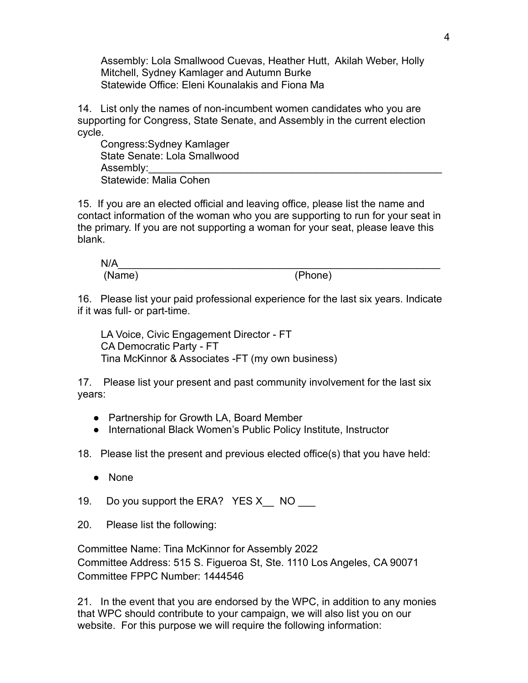Assembly: Lola Smallwood Cuevas, Heather Hutt, Akilah Weber, Holly Mitchell, Sydney Kamlager and Autumn Burke Statewide Office: Eleni Kounalakis and Fiona Ma

14. List only the names of non-incumbent women candidates who you are supporting for Congress, State Senate, and Assembly in the current election cycle.

Congress:Sydney Kamlager State Senate: Lola Smallwood Assembly: Statewide: Malia Cohen

15. If you are an elected official and leaving office, please list the name and contact information of the woman who you are supporting to run for your seat in the primary. If you are not supporting a woman for your seat, please leave this blank.

$$
N/A \qquad (Phone)
$$

16. Please list your paid professional experience for the last six years. Indicate if it was full- or part-time.

LA Voice, Civic Engagement Director - FT CA Democratic Party - FT Tina McKinnor & Associates -FT (my own business)

17. Please list your present and past community involvement for the last six years:

- Partnership for Growth LA, Board Member
- International Black Women's Public Policy Institute, Instructor

18. Please list the present and previous elected office(s) that you have held:

● None

19. Do you support the ERA? YES X NO No

20. Please list the following:

Committee Name: Tina McKinnor for Assembly 2022 Committee Address: 515 S. Figueroa St, Ste. 1110 Los Angeles, CA 90071 Committee FPPC Number: 1444546

21. In the event that you are endorsed by the WPC, in addition to any monies that WPC should contribute to your campaign, we will also list you on our website. For this purpose we will require the following information: